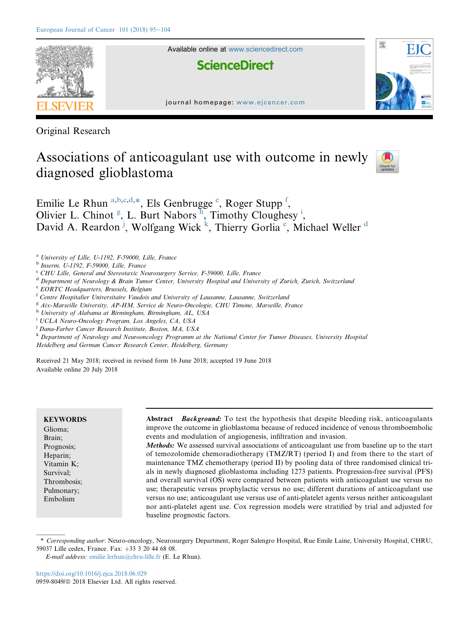

Original Research

# Associations of anticoagulant use with outcome in newly diagnosed glioblastoma



Emilie Le Rhun <sup>a,b,c,d,\*</sup>, Els Genbrugge<sup>e</sup>, Roger Stupp<sup>f</sup>, Olivier L. Chinot<sup>g</sup>, L. Burt Nabors<sup>h</sup>, Timothy Cloughesy<sup>i</sup>, David A. Reardon<sup>j</sup>, Wolfgang Wick <sup>k</sup>, Thierry Gorlia<sup>e</sup>, Michael Weller<sup>d</sup>

<sup>a</sup> University of Lille, U-1192, F-59000, Lille, France

<sup>b</sup> Inserm, U-1192, F-59000, Lille, France

<sup>c</sup> CHU Lille, General and Stereotaxic Neurosurgery Service, F-59000, Lille, France

<sup>d</sup> Department of Neurology & Brain Tumor Center, University Hospital and University of Zurich, Zurich, Switzerland

<sup>e</sup> EORTC Headquarters, Brussels, Belgium

<sup>f</sup> Centre Hospitalier Universitaire Vaudois and University of Lausanne, Lausanne, Switzerland

<sup>g</sup> Aix-Marseille University, AP-HM, Service de Neuro-Oncologie, CHU Timone, Marseille, France

 $h$  University of Alabama at Birmingham, Birmingham, AL, USA

<sup>i</sup> UCLA Neuro-Oncology Program, Los Angeles, CA, USA

<sup>j</sup> Dana-Farber Cancer Research Institute, Boston, MA, USA

k Department of Neurology and Neurooncology Programm at the National Center for Tumor Diseases, University Hospital Heidelberg and German Cancer Research Center, Heidelberg, Germany

Received 21 May 2018; received in revised form 16 June 2018; accepted 19 June 2018 Available online 20 July 2018

# **KEYWORDS**

Glioma; Brain; Prognosis; Heparin; Vitamin K; Survival; Thrombosis; Pulmonary; Embolism

Abstract Background: To test the hypothesis that despite bleeding risk, anticoagulants improve the outcome in glioblastoma because of reduced incidence of venous thromboembolic events and modulation of angiogenesis, infiltration and invasion.

Methods: We assessed survival associations of anticoagulant use from baseline up to the start of temozolomide chemoradiotherapy (TMZ/RT) (period I) and from there to the start of maintenance TMZ chemotherapy (period II) by pooling data of three randomised clinical trials in newly diagnosed glioblastoma including 1273 patients. Progression-free survival (PFS) and overall survival (OS) were compared between patients with anticoagulant use versus no use; therapeutic versus prophylactic versus no use; different durations of anticoagulant use versus no use; anticoagulant use versus use of anti-platelet agents versus neither anticoagulant nor anti-platelet agent use. Cox regression models were stratified by trial and adjusted for baseline prognostic factors.

E-mail address: [emilie.lerhun@chru-lille.fr](mailto:emilie.lerhun@chru-lille.fr) (E. Le Rhun).

<sup>\*</sup> Corresponding author: Neuro-oncology, Neurosurgery Department, Roger Salengro Hospital, Rue Emile Laine, University Hospital, CHRU, 59037 Lille cedex, France. Fax: +33 3 20 44 68 08.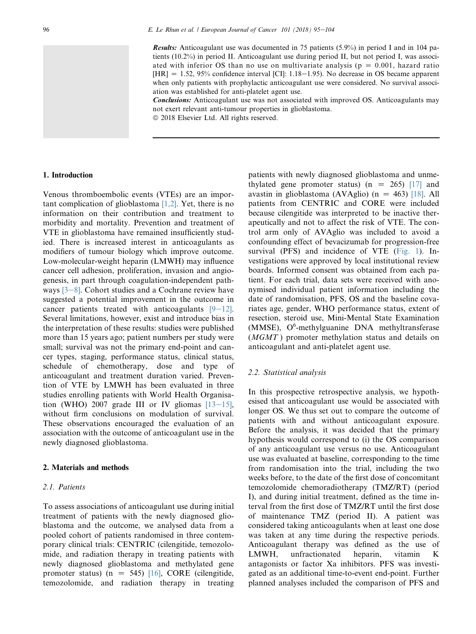**Results:** Anticoagulant use was documented in 75 patients  $(5.9\%)$  in period I and in 104 patients (10.2%) in period II. Anticoagulant use during period II, but not period I, was associated with inferior OS than no use on multivariate analysis ( $p = 0.001$ , hazard ratio  $[HR] = 1.52$ , 95% confidence interval  $[CI]$ : 1.18–1.95). No decrease in OS became apparent when only patients with prophylactic anticoagulant use were considered. No survival association was established for anti-platelet agent use.

**Conclusions:** Anticoagulant use was not associated with improved OS. Anticoagulants may not exert relevant anti-tumour properties in glioblastoma.

 $© 2018 Elsevier Ltd. All rights reserved.$ 

#### 1. Introduction

Venous thromboembolic events (VTEs) are an important complication of glioblastoma [\[1,2\].](#page-8-0) Yet, there is no information on their contribution and treatment to morbidity and mortality. Prevention and treatment of VTE in glioblastoma have remained insufficiently studied. There is increased interest in anticoagulants as modifiers of tumour biology which improve outcome. Low-molecular-weight heparin (LMWH) may influence cancer cell adhesion, proliferation, invasion and angiogenesis, in part through coagulation-independent pathways  $[3-8]$  $[3-8]$ . Cohort studies and a Cochrane review have suggested a potential improvement in the outcome in cancer patients treated with anticoagulants  $[9-12]$  $[9-12]$  $[9-12]$ . Several limitations, however, exist and introduce bias in the interpretation of these results: studies were published more than 15 years ago; patient numbers per study were small; survival was not the primary end-point and cancer types, staging, performance status, clinical status, schedule of chemotherapy, dose and type of anticoagulant and treatment duration varied. Prevention of VTE by LMWH has been evaluated in three studies enrolling patients with World Health Organisation (WHO) 2007 grade III or IV gliomas  $[13-15]$  $[13-15]$  $[13-15]$ , without firm conclusions on modulation of survival. These observations encouraged the evaluation of an association with the outcome of anticoagulant use in the newly diagnosed glioblastoma.

#### 2. Materials and methods

#### 2.1. Patients

To assess associations of anticoagulant use during initial treatment of patients with the newly diagnosed glioblastoma and the outcome, we analysed data from a pooled cohort of patients randomised in three contemporary clinical trials: CENTRIC (cilengitide, temozolomide, and radiation therapy in treating patients with newly diagnosed glioblastoma and methylated gene promoter status) (n = 545) [\[16\]](#page-9-0), CORE (cilengitide, temozolomide, and radiation therapy in treating patients with newly diagnosed glioblastoma and unmethylated gene promoter status) ( $n = 265$ ) [\[17\]](#page-9-0) and avastin in glioblastoma (AVAglio) (n = 463)  $[18]$ . All patients from CENTRIC and CORE were included because cilengitide was interpreted to be inactive therapeutically and not to affect the risk of VTE. The control arm only of AVAglio was included to avoid a confounding effect of bevacizumab for progression-free survival (PFS) and incidence of VTE [\(Fig. 1\)](#page-2-0). Investigations were approved by local institutional review boards. Informed consent was obtained from each patient. For each trial, data sets were received with anonymised individual patient information including the date of randomisation, PFS, OS and the baseline covariates age, gender, WHO performance status, extent of resection, steroid use, Mini-Mental State Examination (MMSE), O<sup>6</sup>-methylguanine DNA methyltransferase (*MGMT*) promoter methylation status and details on anticoagulant and anti-platelet agent use.

#### 2.2. Statistical analysis

In this prospective retrospective analysis, we hypothesised that anticoagulant use would be associated with longer OS. We thus set out to compare the outcome of patients with and without anticoagulant exposure. Before the analysis, it was decided that the primary hypothesis would correspond to (i) the OS comparison of any anticoagulant use versus no use. Anticoagulant use was evaluated at baseline, corresponding to the time from randomisation into the trial, including the two weeks before, to the date of the first dose of concomitant temozolomide chemoradiotherapy (TMZ/RT) (period I), and during initial treatment, defined as the time interval from the first dose of TMZ/RT until the first dose of maintenance TMZ (period II). A patient was considered taking anticoagulants when at least one dose was taken at any time during the respective periods. Anticoagulant therapy was defined as the use of LMWH, unfractionated heparin, vitamin K antagonists or factor Xa inhibitors. PFS was investigated as an additional time-to-event end-point. Further planned analyses included the comparison of PFS and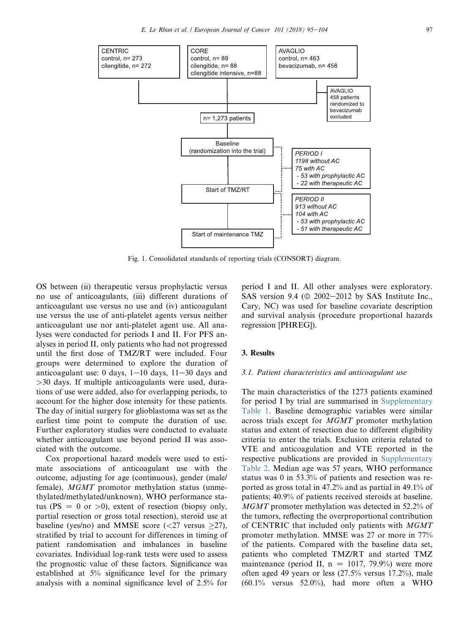<span id="page-2-0"></span>

Fig. 1. Consolidated standards of reporting trials (CONSORT) diagram.

OS between (ii) therapeutic versus prophylactic versus no use of anticoagulants, (iii) different durations of anticoagulant use versus no use and (iv) anticoagulant use versus the use of anti-platelet agents versus neither anticoagulant use nor anti-platelet agent use. All analyses were conducted for periods I and II. For PFS analyses in period II, only patients who had not progressed until the first dose of TMZ/RT were included. Four groups were determined to explore the duration of anticoagulant use: 0 days,  $1-10$  days,  $11-30$  days and >30 days. If multiple anticoagulants were used, durations of use were added, also for overlapping periods, to account for the higher dose intensity for these patients. The day of initial surgery for glioblastoma was set as the earliest time point to compute the duration of use. Further exploratory studies were conducted to evaluate whether anticoagulant use beyond period II was associated with the outcome.

Cox proportional hazard models were used to estimate associations of anticoagulant use with the outcome, adjusting for age (continuous), gender (male/ female), MGMT promotor methylation status (unmethylated/methylated/unknown), WHO performance status (PS = 0 or  $>$ 0), extent of resection (biopsy only, partial resection or gross total resection), steroid use at baseline (yes/no) and MMSE score (<27 versus  $\geq$ 27), stratified by trial to account for differences in timing of patient randomisation and imbalances in baseline covariates. Individual log-rank tests were used to assess the prognostic value of these factors. Significance was established at 5% significance level for the primary analysis with a nominal significance level of 2.5% for period I and II. All other analyses were exploratory. SAS version 9.4 ( $@$  2002-2012 by SAS Institute Inc., Cary, NC) was used for baseline covariate description and survival analysis (procedure proportional hazards regression [PHREG]).

#### 3. Results

## 3.1. Patient characteristics and anticoagulant use

The main characteristics of the 1273 patients examined for period I by trial are summarised in Supplementary Table 1. Baseline demographic variables were similar across trials except for MGMT promoter methylation status and extent of resection due to different eligibility criteria to enter the trials. Exclusion criteria related to VTE and anticoagulation and VTE reported in the respective publications are provided in Supplementary Table 2. Median age was 57 years, WHO performance status was 0 in 53.3% of patients and resection was reported as gross total in 47.2% and as partial in 49.1% of patients; 40.9% of patients received steroids at baseline. MGMT promoter methylation was detected in 52.2% of the tumors, reflecting the overproportional contribution of CENTRIC that included only patients with MGMT promoter methylation. MMSE was 27 or more in 77% of the patients. Compared with the baseline data set, patients who completed TMZ/RT and started TMZ maintenance (period II,  $n = 1017, 79.9\%$ ) were more often aged 49 years or less (27.5% versus 17.2%), male  $(60.1\%$  versus 52.0%), had more often a WHO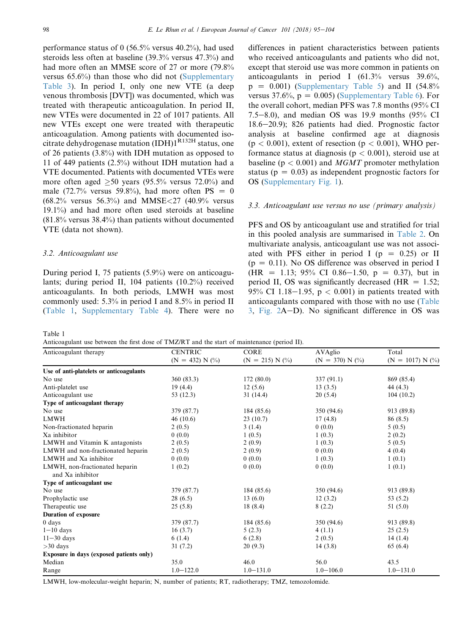<span id="page-3-0"></span>performance status of 0 (56.5% versus 40.2%), had used steroids less often at baseline (39.3% versus 47.3%) and had more often an MMSE score of 27 or more (79.8%) versus 65.6%) than those who did not (Supplementary Table 3). In period I, only one new VTE (a deep venous thrombosis [DVT]) was documented, which was treated with therapeutic anticoagulation. In period II, new VTEs were documented in 22 of 1017 patients. All new VTEs except one were treated with therapeutic anticoagulation. Among patients with documented isocitrate dehydrogenase mutation  $(IDH)]^{R132H}$  status, one of 26 patients (3.8%) with IDH mutation as opposed to 11 of 449 patients (2.5%) without IDH mutation had a VTE documented. Patients with documented VTEs were more often aged  $\geq 50$  years (95.5% versus 72.0%) and male (72.7% versus 59.8%), had more often  $PS = 0$ (68.2% versus 56.3%) and MMSE<27 (40.9% versus 19.1%) and had more often used steroids at baseline (81.8% versus 38.4%) than patients without documented VTE (data not shown).

#### 3.2. Anticoagulant use

During period I, 75 patients (5.9%) were on anticoagulants; during period II, 104 patients (10.2%) received anticoagulants. In both periods, LMWH was most commonly used: 5.3% in period I and 8.5% in period II (Table 1, Supplementary Table 4). There were no differences in patient characteristics between patients who received anticoagulants and patients who did not, except that steroid use was more common in patients on anticoagulants in period I (61.3% versus 39.6%,  $p = 0.001$ ) (Supplementary Table 5) and II (54.8%) versus 37.6%,  $p = 0.005$ ) (Supplementary Table 6). For the overall cohort, median PFS was 7.8 months (95% CI 7.5 $-8.0$ ), and median OS was 19.9 months (95% CI  $18.6-20.9$ ; 826 patients had died. Prognostic factor analysis at baseline confirmed age at diagnosis  $(p < 0.001)$ , extent of resection  $(p < 0.001)$ , WHO performance status at diagnosis ( $p < 0.001$ ), steroid use at baseline ( $p < 0.001$ ) and *MGMT* promoter methylation status ( $p = 0.03$ ) as independent prognostic factors for OS (Supplementary Fig. 1).

#### 3.3. Anticoagulant use versus no use (primary analysis)

PFS and OS by anticoagulant use and stratified for trial in this pooled analysis are summarised in [Table 2](#page-4-0). On multivariate analysis, anticoagulant use was not associated with PFS either in period I ( $p = 0.25$ ) or II  $(p = 0.11)$ . No OS difference was observed in period I (HR = 1.13; 95% CI 0.86-1.50, p = 0.37), but in period II, OS was significantly decreased (HR  $= 1.52$ ; 95% CI 1.18–1.95,  $p < 0.001$ ) in patients treated with anticoagulants compared with those with no use ([Table](#page-5-0) [3,](#page-5-0) Fig.  $2A-D$ ). No significant difference in OS was

Table 1

|  |  |  | Anticoagulant use between the first dose of TMZ/RT and the start of maintenance (period II). |
|--|--|--|----------------------------------------------------------------------------------------------|
|--|--|--|----------------------------------------------------------------------------------------------|

| Anticoagulant therapy                              | <b>CENTRIC</b>    | <b>CORE</b>       | AVAglio           | Total              |
|----------------------------------------------------|-------------------|-------------------|-------------------|--------------------|
|                                                    | $(N = 432) N$ (%) | $(N = 215) N$ (%) | $(N = 370) N$ (%) | $(N = 1017) N$ (%) |
| Use of anti-platelets or anticoagulants            |                   |                   |                   |                    |
| No use                                             | 360 (83.3)        | 172(80.0)         | 337(91.1)         | 869 (85.4)         |
| Anti-platelet use                                  | 19(4.4)           | 12(5.6)           | 13(3.5)           | 44(4.3)            |
| Anticoagulant use                                  | 53 (12.3)         | 31(14.4)          | 20(5.4)           | 104(10.2)          |
| Type of anticoagulant therapy                      |                   |                   |                   |                    |
| No use                                             | 379 (87.7)        | 184 (85.6)        | 350 (94.6)        | 913 (89.8)         |
| <b>LMWH</b>                                        | 46(10.6)          | 23(10.7)          | 17(4.8)           | 86 (8.5)           |
| Non-fractionated heparin                           | 2(0.5)            | 3(1.4)            | 0(0.0)            | 5(0.5)             |
| Xa inhibitor                                       | 0(0.0)            | 1(0.5)            | 1(0.3)            | 2(0.2)             |
| LMWH and Vitamin K antagonists                     | 2(0.5)            | 2(0.9)            | 1(0.3)            | 5(0.5)             |
| LMWH and non-fractionated heparin                  | 2(0.5)            | 2(0.9)            | 0(0.0)            | 4(0.4)             |
| LMWH and Xa inhibitor                              | 0(0.0)            | 0(0.0)            | 1(0.3)            | 1(0.1)             |
| LMWH, non-fractionated heparin<br>and Xa inhibitor | 1(0.2)            | 0(0.0)            | 0(0.0)            | 1(0.1)             |
| Type of anticoagulant use                          |                   |                   |                   |                    |
| No use                                             | 379 (87.7)        | 184 (85.6)        | 350 (94.6)        | 913 (89.8)         |
| Prophylactic use                                   | 28(6.5)           | 13(6.0)           | 12(3.2)           | 53 (5.2)           |
| Therapeutic use                                    | 25(5.8)           | 18 (8.4)          | 8(2.2)            | 51(5.0)            |
| <b>Duration of exposure</b>                        |                   |                   |                   |                    |
| $0$ days                                           | 379 (87.7)        | 184 (85.6)        | 350 (94.6)        | 913 (89.8)         |
| $1-10$ days                                        | 16(3.7)           | 5(2.3)            | 4(1.1)            | 25(2.5)            |
| $11-30$ days                                       | 6(1.4)            | 6(2.8)            | 2(0.5)            | 14(1.4)            |
| $>30$ days                                         | 31(7.2)           | 20(9.3)           | 14(3.8)           | 65(6.4)            |
| Exposure in days (exposed patients only)           |                   |                   |                   |                    |
| Median                                             | 35.0              | 46.0              | 56.0              | 43.5               |
| Range                                              | $1.0 - 122.0$     | $1.0 - 131.0$     | $1.0 - 106.0$     | $1.0 - 131.0$      |

LMWH, low-molecular-weight heparin; N, number of patients; RT, radiotherapy; TMZ, temozolomide.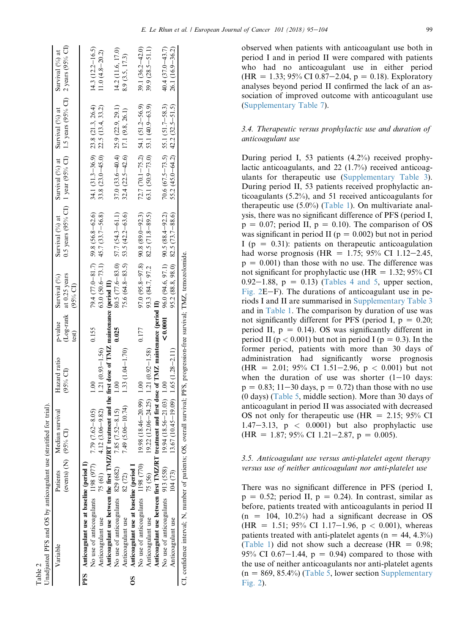<span id="page-4-0"></span>

|   | Unadjusted PFS and OS by anticoagulant use (stratified for trial).                                                       |                           |                        |                                     |         |                                                          |                                           |                                              |                                                                            |                      |
|---|--------------------------------------------------------------------------------------------------------------------------|---------------------------|------------------------|-------------------------------------|---------|----------------------------------------------------------|-------------------------------------------|----------------------------------------------|----------------------------------------------------------------------------|----------------------|
|   | Variable                                                                                                                 | Patients                  | Median survival        | Hazard ratio                        | p-value | Survival (%)                                             | Survival (%) at                           | Survival (%) at Survival (%) at              |                                                                            | Survival (%) at      |
|   |                                                                                                                          | (events) $(N)$ $(95%$ CI) |                        | $(95% \text{ CI})$                  |         | (Log-rank at 0.25 years                                  |                                           |                                              | 0.5 years (95% CI) 1 year (95% CI) 1.5 years (95% CI) 2 years (95% CI) 0.5 |                      |
|   |                                                                                                                          |                           |                        |                                     | test)   | (95% CI)                                                 |                                           |                                              |                                                                            |                      |
|   | PFS Anticoagulant use at baseline (period I)                                                                             |                           |                        |                                     |         |                                                          |                                           |                                              |                                                                            |                      |
|   | No use of anticoagulants $1198$ (977)                                                                                    |                           | $7.79(7.62 - 8.05)$    |                                     | 0.155   |                                                          | $79.4(77.0-81.7)$ 59.8 (56.8-62.6)        | $34.1(31.3-36.9)$ $23.8(21.3, 26.4)$         |                                                                            | $14.3(12.2 - 16.5)$  |
|   | Anticoagulant use                                                                                                        | 75(61)                    | $4.12(3.06 - 9.82)$    | $1.21(0.93 - 1.56)$                 |         |                                                          | 63.0 $(50.6 - 73.1)$ 45.7 $(33.7 - 56.8)$ | 33.8 $(23.0-45.0)$ 22.5 $(13.4, 33.2)$       |                                                                            | $11.0(4.8-20.2)$     |
|   | Anticoagulant use between the first TMZ/RT treatment and the first dose of TMZ maintenance (period II)                   |                           |                        |                                     |         |                                                          |                                           |                                              |                                                                            |                      |
|   | No use of anticoagulants 829 (682)                                                                                       |                           | $7.85(7.52-8.15)$      |                                     | 0.025   |                                                          | $80.5(77.6-83.0)$ $57.7(54.3-61.1)$       | $37.0$ $(33.6 - 40.4)$ $25.9$ $(22.9, 29.1)$ |                                                                            | 14.2 (11.6, 17.0)    |
|   | Anticoagulant use                                                                                                        | 82 (72)                   | $7.49(5.06 - 10.74)$   | $1.33(1.04 - 1.70)$                 |         |                                                          | $75.6(64.8-83.5)$ 53.5 $(42.2-63.6)$      | 32.4 $(22.5-42.6)$ 17.1 $(9.8, 26.1)$        |                                                                            | 8.9 (3.5, 17.3)      |
| S | Anticoagulant use at baseline (period I                                                                                  |                           |                        |                                     |         |                                                          |                                           |                                              |                                                                            |                      |
|   | No use of anticoagulants 1198 (770)                                                                                      |                           | $19.98(18.46 - 20.99)$ |                                     | 0.177   |                                                          | $97.0(95.8-97.8)$ $90.8(89.0-92.3)$       | $72.7(70.1 - 75.2)$ $54.1(51.2 - 56.9)$      |                                                                            | 39.1 $(36.2 - 42.0)$ |
|   | Anticoagulant use                                                                                                        | 75 (56)                   | $19.22(12.06 - 24.25)$ | $1.21(0.92 - 1.58)$                 |         | 93.3 (84.7, 97.2)                                        | $82.5(71.8-89.5)$                         | 63.1 $(50.9 - 73.0)$ 53.1 $(40.9 - 63.9)$    |                                                                            | $39.9(28.5 - 51.1)$  |
|   | Anticoagulant use between first TMZ/RT treatment and first                                                               |                           |                        | dose of TMZ maintenance (period II) |         |                                                          |                                           |                                              |                                                                            |                      |
|   | No use of anticoagulants 913 (558)                                                                                       |                           | $19.94(18.56 - 21.03)$ |                                     |         | $(36.0001 \quad 96.0(94.6, 97.1) \quad 90.5(88.4-92.2))$ |                                           | $70.6$ (67.5–73.5) 55.1 (51.7–58.3)          |                                                                            | $40.4(37.0 - 43.7)$  |
|   | Anticoagulant use                                                                                                        | 104(73)                   | $13.67(10.45 - 19.09)$ | $1.65(1.28 - 2.11)$                 |         |                                                          | $95.2(88.8, 98.0)$ 82.5 (73.7-88.6)       | $55.2(45.0 - 64.2)$ $42.2(32.5 - 51.5)$      |                                                                            | 26.1 (16.9-36.2)     |
|   | CI, confidence interval; N, number of patients; OS, overall survival; PFS, progression-free survival; TMZ, temozolomide. |                           |                        |                                     |         |                                                          |                                           |                                              |                                                                            |                      |

Table 2

ά

observed when patients with anticoagulant use both in period I and in period II were compared with patients who had no anticoagulant use in either period  $(HR = 1.33; 95\% \text{ CI } 0.87-2.04, p = 0.18)$ . Exploratory analyses beyond period II confirmed the lack of an association of improved outcome with anticoagulant use (Supplementary Table 7).

# 3.4. Therapeutic versus prophylactic use and duration of anticoagulant use

During period I, 53 patients (4.2%) received prophylactic anticoagulants, and 22 (1.7%) received anticoagulants for therapeutic use (Supplementary Table 3). During period II, 53 patients received prophylactic anticoagulants (5.2%), and 51 received anticoagulants for therapeutic use (5.0%) ([Table 1](#page-3-0)). On multivariate analysis, there was no significant difference of PFS (period I,  $p = 0.07$ ; period II,  $p = 0.10$ ). The comparison of OS was significant in period II ( $p = 0.002$ ) but not in period I ( $p = 0.31$ ): patients on therapeutic anticoagulation had worse prognosis (HR = 1.75; 95% CI 1.12-2.45,  $p = 0.001$ ) than those with no use. The difference was not significant for prophylactic use (HR  $= 1.32$ ; 95% CI 0.92–1.88,  $p = 0.13$ ) [\(Tables 4 and 5,](#page-6-0) upper section, Fig.  $2E-F$ ). The durations of anticoagulant use in periods I and II are summarised in Supplementary Table 3 and in [Table 1.](#page-3-0) The comparison by duration of use was not significantly different for PFS (period I,  $p = 0.20$ ; period II,  $p = 0.14$ ). OS was significantly different in period II ( $p < 0.001$ ) but not in period I ( $p = 0.3$ ). In the former period, patients with more than 30 days of administration had significantly worse prognosis (HR = 2.01; 95% CI 1.51-2.96, p < 0.001) but not when the duration of use was shorter  $(1-10)$  days:  $p = 0.83$ ; 11–30 days,  $p = 0.72$ ) than those with no use (0 days) [\(Table 5](#page-7-0), middle section). More than 30 days of anticoagulant in period II was associated with decreased OS not only for the rapeutic use (HR  $= 2.15$ ; 95% CI 1.47 $-3.13$ , p < 0.0001) but also prophylactic use  $(HR = 1.87; 95\% \text{ CI } 1.21 - 2.87, p = 0.005).$ 

# 3.5. Anticoagulant use versus anti-platelet agent therapy versus use of neither anticoagulant nor anti-platelet use

There was no significant difference in PFS (period I,  $p = 0.52$ ; period II,  $p = 0.24$ ). In contrast, similar as before, patients treated with anticoagulants in period II  $(n = 104, 10.2\%)$  had a significant decrease in OS (HR = 1.51; 95% CI 1.17-1.96, p < 0.001), whereas patients treated with anti-platelet agents ( $n = 44, 4.3\%$ ) ([Table 1](#page-3-0)) did not show such a decrease (HR  $= 0.98$ ; 95% CI 0.67–1.44,  $p = 0.94$ ) compared to those with the use of neither anticoagulants nor anti-platelet agents  $(n = 869, 85.4\%)$  ([Table 5](#page-7-0), lower section Supplementary Fig. 2).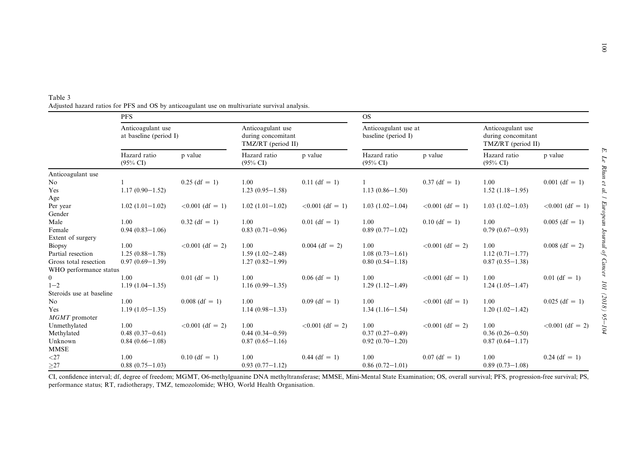|                          | <b>PFS</b>                                  |                    |                                                               |                    | <b>OS</b>                                   |                    |                                                               |                    |
|--------------------------|---------------------------------------------|--------------------|---------------------------------------------------------------|--------------------|---------------------------------------------|--------------------|---------------------------------------------------------------|--------------------|
|                          | Anticoagulant use<br>at baseline (period I) |                    | Anticoagulant use<br>during concomitant<br>TMZ/RT (period II) |                    | Anticoagulant use at<br>baseline (period I) |                    | Anticoagulant use<br>during concomitant<br>TMZ/RT (period II) |                    |
|                          | Hazard ratio<br>$(95\% \text{ CI})$         | p value            | Hazard ratio<br>$(95\% \text{ CI})$                           | p value            | Hazard ratio<br>$(95\% \text{ CI})$         | p value            | Hazard ratio<br>$(95\% \text{ CI})$                           | p value            |
| Anticoagulant use        |                                             |                    |                                                               |                    |                                             |                    |                                                               |                    |
| No                       |                                             | $0.25$ (df = 1)    | 1.00                                                          | $0.11$ (df = 1)    |                                             | $0.37$ (df = 1)    | 1.00                                                          | $0.001$ (df = 1)   |
| Yes                      | $1.17(0.90-1.52)$                           |                    | $1.23(0.95-1.58)$                                             |                    | $1.13(0.86 - 1.50)$                         |                    | $1.52(1.18-1.95)$                                             |                    |
| Age                      |                                             |                    |                                                               |                    |                                             |                    |                                                               |                    |
| Per year                 | $1.02(1.01-1.02)$                           | $< 0.001$ (df = 1) | $1.02(1.01-1.02)$                                             | $< 0.001$ (df = 1) | $1.03(1.02 - 1.04)$                         | $< 0.001$ (df = 1) | $1.03(1.02 - 1.03)$                                           | $< 0.001$ (df = 1) |
| Gender                   |                                             |                    |                                                               |                    |                                             |                    |                                                               |                    |
| Male                     | 1.00                                        | $0.32$ (df = 1)    | 1.00                                                          | $0.01$ (df = 1)    | 1.00                                        | $0.10$ (df = 1)    | 1.00                                                          | $0.005$ (df = 1)   |
| Female                   | $0.94(0.83 - 1.06)$                         |                    | $0.83(0.71 - 0.96)$                                           |                    | $0.89(0.77-1.02)$                           |                    | $0.79(0.67-0.93)$                                             |                    |
| Extent of surgery        |                                             |                    |                                                               |                    |                                             |                    |                                                               |                    |
| Biopsy                   | 1.00                                        | $< 0.001$ (df = 2) | 1.00                                                          | $0.004$ (df = 2)   | 1.00                                        | $< 0.001$ (df = 2) | 1.00                                                          | $0.008$ (df = 2)   |
| Partial resection        | $1.25(0.88 - 1.78)$                         |                    | $1.59(1.02 - 2.48)$                                           |                    | $1.08(0.73 - 1.61)$                         |                    | $1.12(0.71 - 1.77)$                                           |                    |
| Gross total resection    | $0.97(0.69-1.39)$                           |                    | $1.27(0.82 - 1.99)$                                           |                    | $0.80(0.54 - 1.18)$                         |                    | $0.87(0.55-1.38)$                                             |                    |
| WHO performance status   |                                             |                    |                                                               |                    |                                             |                    |                                                               |                    |
| $\overline{0}$           | 1.00                                        | $0.01$ (df = 1)    | 1.00                                                          | $0.06$ (df = 1)    | 1.00                                        | $< 0.001$ (df = 1) | 1.00                                                          | $0.01$ (df = 1)    |
| $1 - 2$                  | $1.19(1.04-1.35)$                           |                    | $1.16(0.99 - 1.35)$                                           |                    | $1.29(1.12 - 1.49)$                         |                    | $1.24(1.05-1.47)$                                             |                    |
| Steroids use at baseline |                                             |                    |                                                               |                    |                                             |                    |                                                               |                    |
| No                       | 1.00                                        | $0.008$ (df = 1)   | 1.00                                                          | $0.09$ (df = 1)    | 1.00                                        | $< 0.001$ (df = 1) | 1.00                                                          | $0.025$ (df = 1)   |
| Yes                      | $1.19(1.05-1.35)$                           |                    | $1.14(0.98-1.33)$                                             |                    | $1.34(1.16-1.54)$                           |                    | $1.20(1.02 - 1.42)$                                           |                    |
| MGMT promoter            |                                             |                    |                                                               |                    |                                             |                    |                                                               |                    |
| Unmethylated             | 1.00                                        | $< 0.001$ (df = 2) | $1.00 -$                                                      | $< 0.001$ (df = 2) | 1.00                                        | $< 0.001$ (df = 2) | 1.00                                                          | $< 0.001$ (df = 2) |
| Methylated               | $0.48(0.37-0.61)$                           |                    | $0.44(0.34 - 0.59)$                                           |                    | $0.37(0.27-0.49)$                           |                    | $0.36(0.26 - 0.50)$                                           |                    |
| Unknown                  | $0.84(0.66 - 1.08)$                         |                    | $0.87(0.65 - 1.16)$                                           |                    | $0.92(0.70-1.20)$                           |                    | $0.87(0.64 - 1.17)$                                           |                    |
| <b>MMSE</b>              |                                             |                    |                                                               |                    |                                             |                    |                                                               |                    |
| $<$ 27                   | 1.00                                        | $0.10$ (df = 1)    | 1.00                                                          | $0.44$ (df = 1)    | 1.00                                        | $0.07$ (df = 1)    | 1.00                                                          | $0.24$ (df = 1)    |
| >27                      | $0.88(0.75 - 1.03)$                         |                    | $0.93(0.77-1.12)$                                             |                    | $0.86(0.72 - 1.01)$                         |                    | $0.89(0.73 - 1.08)$                                           |                    |

<span id="page-5-0"></span>Table 3 Adjusted hazard ratios for PFS and OS by anticoagulant use on multivariate survival analysis.

CI, confidence interval; df, degree of freedom; MGMT, O6-methylguanine DNA methyltransferase; MMSE, Mini-Mental State Examination; OS, overall survival; PFS, progression-free survival; PS, performance status; RT, radiotherapy, TMZ, temozolomide; WHO, World Health Organisation.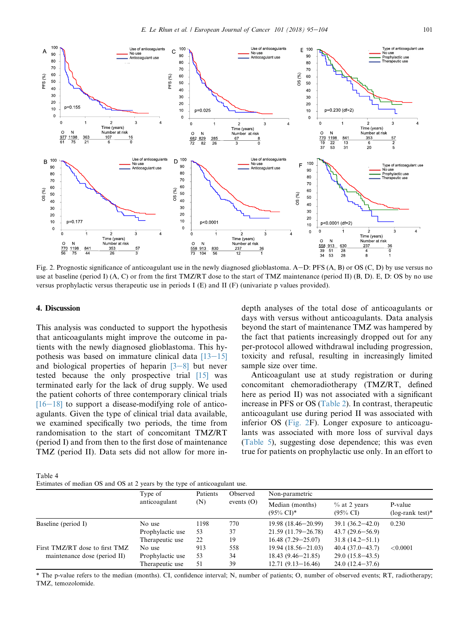<span id="page-6-0"></span>

Fig. 2. Prognostic significance of anticoagulant use in the newly diagnosed glioblastoma. A–D: PFS (A, B) or OS (C, D) by use versus no use at baseline (period I)  $(A, C)$  or from the first TMZ/RT dose to the start of TMZ maintenance (period II)  $(B, D)$ . E, D: OS by no use versus prophylactic versus therapeutic use in periods I (E) and II (F) (univariate p values provided).

#### 4. Discussion

This analysis was conducted to support the hypothesis that anticoagulants might improve the outcome in patients with the newly diagnosed glioblastoma. This hypothesis was based on immature clinical data  $[13-15]$  $[13-15]$  $[13-15]$ and biological properties of heparin  $[3-8]$  $[3-8]$  $[3-8]$  but never tested because the only prospective trial [\[15\]](#page-9-0) was terminated early for the lack of drug supply. We used the patient cohorts of three contemporary clinical trials  $[16-18]$  $[16-18]$  $[16-18]$  to support a disease-modifying role of anticoagulants. Given the type of clinical trial data available, we examined specifically two periods, the time from randomisation to the start of concomitant TMZ/RT (period I) and from then to the first dose of maintenance TMZ (period II). Data sets did not allow for more indepth analyses of the total dose of anticoagulants or days with versus without anticoagulants. Data analysis beyond the start of maintenance TMZ was hampered by the fact that patients increasingly dropped out for any per-protocol allowed withdrawal including progression, toxicity and refusal, resulting in increasingly limited sample size over time.

Anticoagulant use at study registration or during concomitant chemoradiotherapy (TMZ/RT, defined here as period II) was not associated with a significant increase in PFS or OS [\(Table 2](#page-4-0)). In contrast, therapeutic anticoagulant use during period II was associated with inferior OS (Fig. 2F). Longer exposure to anticoagulants was associated with more loss of survival days ([Table 5\)](#page-7-0), suggesting dose dependence; this was even true for patients on prophylactic use only. In an effort to

Table 4

|                                | Type of          | Patients | Observed     | Non-parametric                           |                                       |                                 |
|--------------------------------|------------------|----------|--------------|------------------------------------------|---------------------------------------|---------------------------------|
|                                | anticoagulant    | (N)      | events $(O)$ | Median (months)<br>$(95\% \text{ CI})^*$ | $%$ at 2 years<br>$(95\% \text{ CI})$ | P-value<br>$(\log$ -rank test)* |
| Baseline (period I)            | No use           | 1198     | 770          | $19.98(18.46 - 20.99)$                   | $39.1(36.2 - 42.0)$                   | 0.230                           |
|                                | Prophylactic use | 53       | 37           | $21.59(11.79 - 26.78)$                   | $43.7(29.6 - 56.9)$                   |                                 |
|                                | Therapeutic use  | 22       | 19           | $16.48(7.29 - 25.07)$                    | $31.8(14.2 - 51.1)$                   |                                 |
| First TMZ/RT dose to first TMZ | No use           | 913      | 558          | $19.94(18.56 - 21.03)$                   | $40.4(37.0-43.7)$                     | < 0.0001                        |
| maintenance dose (period II)   | Prophylactic use | 53       | 34           | $18.43(9.46 - 21.85)$                    | $29.0(15.8-43.5)$                     |                                 |
|                                | Therapeutic use  | 51       | 39           | $12.71(9.13 - 16.46)$                    | $24.0(12.4 - 37.6)$                   |                                 |

\* The p-value refers to the median (months). CI, confidence interval; N, number of patients; O, number of observed events; RT, radiotherapy; TMZ, temozolomide.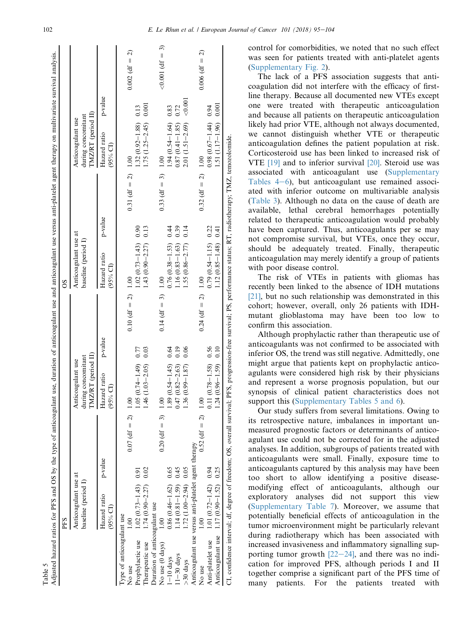<span id="page-7-0"></span>

|                                     | Adjusted hazard ratios for PFS and OS by the type of anticoagulant use, duration of anticoagulant use and anticoagulant use versus anti-platelet agent therapy on multivariate survival analysis.<br>PFS |                      |                                                             |                      | SO                                          |                      |                                                               |                    |
|-------------------------------------|----------------------------------------------------------------------------------------------------------------------------------------------------------------------------------------------------------|----------------------|-------------------------------------------------------------|----------------------|---------------------------------------------|----------------------|---------------------------------------------------------------|--------------------|
|                                     | Anticoagulant use at<br>baseline (period I)                                                                                                                                                              |                      | MZ/RT (period II)<br>uring concomitant<br>Anticoagulant use |                      | Anticoagulant use at<br>baseline (period I) |                      | IMZ/RT (period II)<br>during concomitant<br>Anticoagulant use |                    |
|                                     | p-value<br>Hazard ratio<br>$(95\% \text{ CI})$                                                                                                                                                           |                      | Jazard ratio<br>(95% CI)                                    | p-value              | Hazard ratio<br>$(95%$ CI)                  | p-value              | p-value<br>Hazard ratio<br>$(95%$ CI)                         |                    |
| Type of anticoagulant use<br>No use | $\frac{8}{1}$                                                                                                                                                                                            | $0.07$ (df = 2) 1.00 |                                                             | $0.10$ (df = 2) 1.00 |                                             | $0.31$ (df = 2) 1.00 |                                                               | $0.002$ (df = 2)   |
| Prophylactic use                    | $1.02(0.73 - 1.43)$ 0.91                                                                                                                                                                                 |                      | 0.77<br>$.05(0.74 - 1.49)$                                  |                      | $1.02(0.73 - 1.43)$ 0.90                    |                      | 0.13<br>$1.32(0.92 - 1.88)$                                   |                    |
| Therapeutic use                     | 0.02<br>$1.74(0.90 - 2.27)$                                                                                                                                                                              |                      | 0.03<br>$.46(1.03 - 2.05)$                                  |                      | $1.43(0.90 - 2.27)$ 0.13                    |                      | 0.001<br>$1.75(1.25 - 2.45)$                                  |                    |
| Duration of anticoagulant use       |                                                                                                                                                                                                          |                      |                                                             |                      |                                             |                      |                                                               |                    |
| No use (0 days)                     | 1.00                                                                                                                                                                                                     | $0.20$ (df = 3)      | $\epsilon$                                                  | $0.14$ (df = 3) 1.00 |                                             | $0.33$ (df = 3) 1.00 |                                                               | $< 0.001$ (df = 3) |
| $1 - 10$ days                       | $0.86(0.46 - 1.62)$ 0.65                                                                                                                                                                                 |                      | 0.64<br>$.89(0.54 - 1.45)$                                  |                      | $0.76(0.38 - 1.53)$ 0.44                    |                      | $1.94(0.54 - 1.64)$ 0.83                                      |                    |
| $11 - 30$ days                      | $1.14(0.81 - 1.59)$ 0.45                                                                                                                                                                                 |                      | 0.19<br>$0.47(0.82 - 2.63)$                                 |                      | $1.16(0.83 - 1.63)$ 0.39                    |                      | $0.87(0.41 - 1.85)$ 0.72                                      |                    |
| $>30$ days                          | 0.05<br>$1.72(1.00 - 2.94)$                                                                                                                                                                              |                      | 0.06<br>$.36(0.99 - 1.87)$                                  |                      | $1.55(0.86 - 2.77)$                         | 0.14                 | < 0.001<br>$2.01(1.51 - 2.69)$                                |                    |
|                                     | Anticoagulant use versus anti-platelet agent therapy                                                                                                                                                     |                      |                                                             |                      |                                             |                      |                                                               |                    |
| No use                              | $\frac{0}{2}$                                                                                                                                                                                            | $0.52$ (df = 2) 1    | $\epsilon$                                                  | $0.24$ (df = 2) 1.00 |                                             | $0.32$ (df = 2) 1.00 |                                                               | $0.006$ (df = 2)   |
| Anti-platelet use                   | $1.01(0.72 - 1.42)$ 0.94                                                                                                                                                                                 |                      | $.11(0.78 - 1.58)$ 0.56                                     |                      | $0.79(0.54 - 1.15)$ 0.22                    |                      | $0.98(0.67 - 1.44)$ 0.94                                      |                    |
| Anticoagulant use                   | $1.17(0.90 - 1.52)$ 0.25                                                                                                                                                                                 |                      | $.24(0.96 - 1.59)$ 0.10                                     |                      | $1.12(0.85 - 1.48)$ 0.41                    |                      | 0.001<br>$1.51(1.17 - 1.96)$                                  |                    |
|                                     | CI, confidence interval; df, degree of freedom; OS, overall survival; PFS, progression-free survival; PS, performance status; RT, radiotherapy; TMZ, temozolomide.                                       |                      |                                                             |                      |                                             |                      |                                                               |                    |

control for comorbidities, we noted that no such effect was seen for patients treated with anti-platelet agents (Supplementary Fig. 2).

The lack of a PFS association suggests that anticoagulation did not interfere with the efficacy of firstline therapy. Because all documented new VTEs except one were treated with therapeutic anticoagulation and because all patients on therapeutic anticoagulation likely had prior VTE, although not always documented, we cannot distinguish whether VTE or therapeutic anticoagulation defines the patient population at risk. Corticosteroid use has been linked to increased risk of VTE [\[19\]](#page-9-0) and to inferior survival [\[20\]](#page-9-0). Steroid use was associated with anticoagulant use (Supplementary Tables  $4-6$ ), but anticoagulant use remained associated with inferior outcome on multivariable analysis [\(Table 3](#page-5-0)). Although no data on the cause of death are available, lethal cerebral hemorrhages potentially related to therapeutic anticoagulation would probably have been captured. Thus, anticoagulants per se may not compromise survival, but VTEs, once they occur, should be adequately treated. Finally, therapeutic anticoagulation may merely identify a group of patients with poor disease control.

The risk of VTEs in patients with gliomas has recently been linked to the absence of IDH mutations [\[21\]](#page-9-0), but no such relationship was demonstrated in this cohort; however, overall, only 26 patients with IDHmutant glioblastoma may have been too low to confirm this association.

Although prophylactic rather than therapeutic use of anticoagulants was not confirmed to be associated with inferior OS, the trend was still negative. Admittedly, one might argue that patients kept on prophylactic anticoagulants were considered high risk by their physicians and represent a worse prognosis population, but our synopsis of clinical patient characteristics does not support this (Supplementary Tables 5 and 6).

Our study suffers from several limitations. Owing to its retrospective nature, imbalances in important unmeasured prognostic factors or determinants of anticoagulant use could not be corrected for in the adjusted analyses. In addition, subgroups of patients treated with anticoagulants were small. Finally, exposure time to anticoagulants captured by this analysis may have been too short to allow identifying a positive diseasemodifying effect of anticoagulants, although our exploratory analyses did not support this view (Supplementary Table 7). Moreover, we assume that potentially beneficial effects of anticoagulation in the tumor microenvironment might be particularly relevant during radiotherapy which has been associated with increased invasiveness and inflammatory signalling supporting tumor growth  $[22-24]$  $[22-24]$ , and there was no indication for improved PFS, although periods I and II together comprise a significant part of the PFS time of many patients. For the patients treated with

Table 5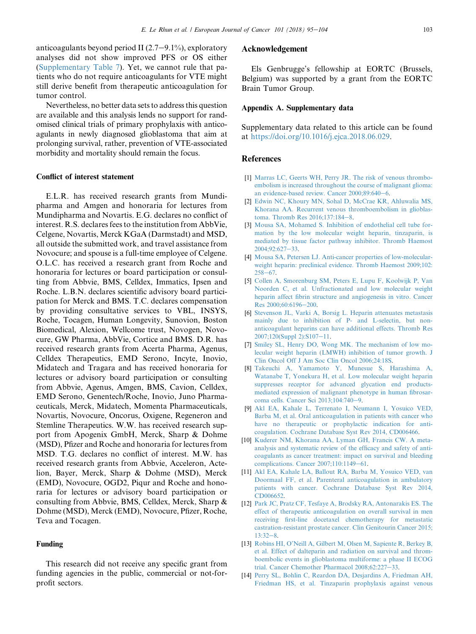<span id="page-8-0"></span>anticoagulants beyond period II (2.7–9.1%), exploratory analyses did not show improved PFS or OS either (Supplementary Table 7). Yet, we cannot rule that patients who do not require anticoagulants for VTE might still derive benefit from therapeutic anticoagulation for tumor control.

Nevertheless, no better data sets to address this question are available and this analysis lends no support for randomised clinical trials of primary prophylaxis with anticoagulants in newly diagnosed glioblastoma that aim at prolonging survival, rather, prevention of VTE-associated morbidity and mortality should remain the focus.

#### Conflict of interest statement

E.L.R. has received research grants from Mundipharma and Amgen and honoraria for lectures from Mundipharma and Novartis. E.G. declares no conflict of interest. R.S. declares fees to the institution from AbbVie, Celgene, Novartis, Merck KGaA (Darmstadt) and MSD, all outside the submitted work, and travel assistance from Novocure; and spouse is a full-time employee of Celgene. O.L.C. has received a research grant from Roche and honoraria for lectures or board participation or consulting from Abbvie, BMS, Celldex, Immatics, Ipsen and Roche. L.B.N. declares scientific advisory board participation for Merck and BMS. T.C. declares compensation by providing consultative services to VBL, INSYS, Roche, Tocagen, Human Longevity, Sunovion, Boston Biomedical, Alexion, Wellcome trust, Novogen, Novocure, GW Pharma, AbbVie, Cortice and BMS. D.R. has received research grants from Acerta Pharma, Agenus, Celldex Therapeutics, EMD Serono, Incyte, Inovio, Midatech and Tragara and has received honoraria for lectures or advisory board participation or consulting from Abbvie, Agenus, Amgen, BMS, Cavion, Celldex, EMD Serono, Genentech/Roche, Inovio, Juno Pharmaceuticals, Merck, Midatech, Momenta Pharmaceuticals, Novartis, Novocure, Oncorus, Oxigene, Regeneron and Stemline Therapeutics. W.W. has received research support from Apogenix GmbH, Merck, Sharp & Dohme (MSD), Pfizer and Roche and honoraria for lectures from MSD. T.G. declares no conflict of interest. M.W. has received research grants from Abbvie, Acceleron, Actelion, Bayer, Merck, Sharp & Dohme (MSD), Merck (EMD), Novocure, OGD2, Piqur and Roche and honoraria for lectures or advisory board participation or consulting from Abbvie, BMS, Celldex, Merck, Sharp & Dohme (MSD), Merck (EMD), Novocure, Pfizer, Roche, Teva and Tocagen.

## Funding

This research did not receive any specific grant from funding agencies in the public, commercial or not-forprofit sectors.

# Acknowledgement

Els Genbrugge's fellowship at EORTC (Brussels, Belgium) was supported by a grant from the EORTC Brain Tumor Group.

#### Appendix A. Supplementary data

Supplementary data related to this article can be found at [https://doi.org/10.1016/j.ejca.2018.06.029.](https://doi.org/10.1016/j.ejca.2018.06.029)

# **References**

- [1] [Marras LC, Geerts WH, Perry JR. The risk of venous thrombo](http://refhub.elsevier.com/S0959-8049(18)30943-2/sref1)[embolism is increased throughout the course of malignant glioma:](http://refhub.elsevier.com/S0959-8049(18)30943-2/sref1) [an evidence-based review. Cancer 2000;89:640](http://refhub.elsevier.com/S0959-8049(18)30943-2/sref1)-[6](http://refhub.elsevier.com/S0959-8049(18)30943-2/sref1).
- [2] [Edwin NC, Khoury MN, Sohal D, McCrae KR, Ahluwalia MS,](http://refhub.elsevier.com/S0959-8049(18)30943-2/sref2) [Khorana AA. Recurrent venous thromboembolism in glioblas](http://refhub.elsevier.com/S0959-8049(18)30943-2/sref2)[toma. Thromb Res 2016;137:184](http://refhub.elsevier.com/S0959-8049(18)30943-2/sref2)-[8](http://refhub.elsevier.com/S0959-8049(18)30943-2/sref2).
- [3] [Mousa SA, Mohamed S. Inhibition of endothelial cell tube for](http://refhub.elsevier.com/S0959-8049(18)30943-2/sref3)[mation by the low molecular weight heparin, tinzaparin, is](http://refhub.elsevier.com/S0959-8049(18)30943-2/sref3) [mediated by tissue factor pathway inhibitor. Thromb Haemost](http://refhub.elsevier.com/S0959-8049(18)30943-2/sref3)  $2004:92:627 - 33.$  $2004:92:627 - 33.$
- [4] [Mousa SA, Petersen LJ. Anti-cancer properties of low-molecular](http://refhub.elsevier.com/S0959-8049(18)30943-2/sref4)[weight heparin: preclinical evidence. Thromb Haemost 2009;102:](http://refhub.elsevier.com/S0959-8049(18)30943-2/sref4)  $258 - 67$  $258 - 67$  $258 - 67$
- [5] [Collen A, Smorenburg SM, Peters E, Lupu F, Koolwijk P, Van](http://refhub.elsevier.com/S0959-8049(18)30943-2/sref5) [Noorden C, et al. Unfractionated and low molecular weight](http://refhub.elsevier.com/S0959-8049(18)30943-2/sref5) [heparin affect fibrin structure and angiogenesis in vitro. Cancer](http://refhub.elsevier.com/S0959-8049(18)30943-2/sref5) Res  $2000:60:6196 - 200$ .
- [6] [Stevenson JL, Varki A, Borsig L. Heparin attenuates metastasis](http://refhub.elsevier.com/S0959-8049(18)30943-2/sref6) [mainly due to inhibition of P- and L-selectin, but non](http://refhub.elsevier.com/S0959-8049(18)30943-2/sref6)[anticoagulant heparins can have additional effects. Thromb Res](http://refhub.elsevier.com/S0959-8049(18)30943-2/sref6) [2007;120\(Suppl 2\):S107](http://refhub.elsevier.com/S0959-8049(18)30943-2/sref6)-[11.](http://refhub.elsevier.com/S0959-8049(18)30943-2/sref6)
- [7] [Smiley SL, Henry DO, Wong MK. The mechanism of low mo](http://refhub.elsevier.com/S0959-8049(18)30943-2/sref7)[lecular weight heparin \(LMWH\) inhibition of tumor growth. J](http://refhub.elsevier.com/S0959-8049(18)30943-2/sref7) [Clin Oncol Off J Am Soc Clin Oncol 2006;24:18S](http://refhub.elsevier.com/S0959-8049(18)30943-2/sref7).
- [8] [Takeuchi A, Yamamoto Y, Munesue S, Harashima A,](http://refhub.elsevier.com/S0959-8049(18)30943-2/sref8) [Watanabe T, Yonekura H, et al. Low molecular weight heparin](http://refhub.elsevier.com/S0959-8049(18)30943-2/sref8) [suppresses receptor for advanced glycation end products](http://refhub.elsevier.com/S0959-8049(18)30943-2/sref8)[mediated expression of malignant phenotype in human fibrosar](http://refhub.elsevier.com/S0959-8049(18)30943-2/sref8)[coma cells. Cancer Sci 2013;104:740](http://refhub.elsevier.com/S0959-8049(18)30943-2/sref8)-[9](http://refhub.elsevier.com/S0959-8049(18)30943-2/sref8).
- [9] [Akl EA, Kahale L, Terrenato I, Neumann I, Yosuico VED,](http://refhub.elsevier.com/S0959-8049(18)30943-2/sref9) [Barba M, et al. Oral anticoagulation in patients with cancer who](http://refhub.elsevier.com/S0959-8049(18)30943-2/sref9) [have no therapeutic or prophylactic indication for anti](http://refhub.elsevier.com/S0959-8049(18)30943-2/sref9)[coagulation. Cochrane Database Syst Rev 2014, CD006466](http://refhub.elsevier.com/S0959-8049(18)30943-2/sref9).
- [10] [Kuderer NM, Khorana AA, Lyman GH, Francis CW. A meta](http://refhub.elsevier.com/S0959-8049(18)30943-2/sref10)[analysis and systematic review of the efficacy and safety of anti](http://refhub.elsevier.com/S0959-8049(18)30943-2/sref10)[coagulants as cancer treatment: impact on survival and bleeding](http://refhub.elsevier.com/S0959-8049(18)30943-2/sref10) [complications. Cancer 2007;110:1149](http://refhub.elsevier.com/S0959-8049(18)30943-2/sref10)-[61](http://refhub.elsevier.com/S0959-8049(18)30943-2/sref10).
- [11] [Akl EA, Kahale LA, Ballout RA, Barba M, Yosuico VED, van](http://refhub.elsevier.com/S0959-8049(18)30943-2/sref11) [Doormaal FF, et al. Parenteral anticoagulation in ambulatory](http://refhub.elsevier.com/S0959-8049(18)30943-2/sref11) [patients with cancer. Cochrane Database Syst Rev 2014,](http://refhub.elsevier.com/S0959-8049(18)30943-2/sref11) [CD006652.](http://refhub.elsevier.com/S0959-8049(18)30943-2/sref11)
- [12] [Park JC, Pratz CF, Tesfaye A, Brodsky RA, Antonarakis ES. The](http://refhub.elsevier.com/S0959-8049(18)30943-2/sref12) [effect of therapeutic anticoagulation on overall survival in men](http://refhub.elsevier.com/S0959-8049(18)30943-2/sref12) [receiving first-line docetaxel chemotherapy for metastatic](http://refhub.elsevier.com/S0959-8049(18)30943-2/sref12) [castration-resistant prostate cancer. Clin Genitourin Cancer 2015;](http://refhub.elsevier.com/S0959-8049(18)30943-2/sref12)  $13.32 - 8$
- [13] [Robins HI, O'Neill A, Gilbert M, Olsen M, Sapiente R, Berkey B,](http://refhub.elsevier.com/S0959-8049(18)30943-2/sref13) [et al. Effect of dalteparin and radiation on survival and throm](http://refhub.elsevier.com/S0959-8049(18)30943-2/sref13)[boembolic events in glioblastoma multiforme: a phase II ECOG](http://refhub.elsevier.com/S0959-8049(18)30943-2/sref13) [trial. Cancer Chemother Pharmacol 2008;62:227](http://refhub.elsevier.com/S0959-8049(18)30943-2/sref13)-[33](http://refhub.elsevier.com/S0959-8049(18)30943-2/sref13).
- [14] [Perry SL, Bohlin C, Reardon DA, Desjardins A, Friedman AH,](http://refhub.elsevier.com/S0959-8049(18)30943-2/sref14) [Friedman HS, et al. Tinzaparin prophylaxis against venous](http://refhub.elsevier.com/S0959-8049(18)30943-2/sref14)